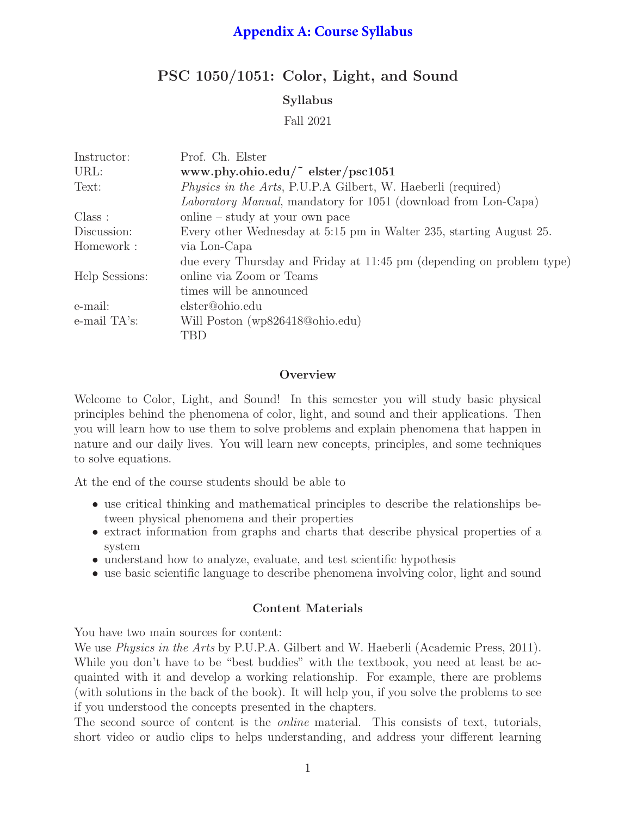# **Appendix A: Course Syllabus**

# PSC 1050/1051: Color, Light, and Sound

# Syllabus

Fall 2021

| Instructor:    | Prof. Ch. Elster                                                       |  |  |  |
|----------------|------------------------------------------------------------------------|--|--|--|
| URL:           | www.phy.ohio.edu/ $\degree$ elster/psc1051                             |  |  |  |
| Text:          | <i>Physics in the Arts</i> , P.U.P.A Gilbert, W. Haeberli (required)   |  |  |  |
|                | <i>Laboratory Manual</i> , mandatory for 1051 (download from Lon-Capa) |  |  |  |
| Class:         | online – study at your own pace                                        |  |  |  |
| Discussion:    | Every other Wednesday at 5:15 pm in Walter 235, starting August 25.    |  |  |  |
| Homework:      | via Lon-Capa                                                           |  |  |  |
|                | due every Thursday and Friday at 11:45 pm (depending on problem type)  |  |  |  |
| Help Sessions: | online via Zoom or Teams                                               |  |  |  |
|                | times will be announced                                                |  |  |  |
| e-mail:        | elster@ohio.edu                                                        |  |  |  |
| e-mail TA's:   | Will Poston (wp826418@ohio.edu)                                        |  |  |  |
|                | TBD                                                                    |  |  |  |

# **Overview**

Welcome to Color, Light, and Sound! In this semester you will study basic physical principles behind the phenomena of color, light, and sound and their applications. Then you will learn how to use them to solve problems and explain phenomena that happen in nature and our daily lives. You will learn new concepts, principles, and some techniques to solve equations.

At the end of the course students should be able to

- use critical thinking and mathematical principles to describe the relationships between physical phenomena and their properties
- extract information from graphs and charts that describe physical properties of a system
- understand how to analyze, evaluate, and test scientific hypothesis
- use basic scientific language to describe phenomena involving color, light and sound

# Content Materials

You have two main sources for content:

We use *Physics in the Arts* by P.U.P.A. Gilbert and W. Haeberli (Academic Press, 2011). While you don't have to be "best buddies" with the textbook, you need at least be acquainted with it and develop a working relationship. For example, there are problems (with solutions in the back of the book). It will help you, if you solve the problems to see if you understood the concepts presented in the chapters.

The second source of content is the *online* material. This consists of text, tutorials, short video or audio clips to helps understanding, and address your different learning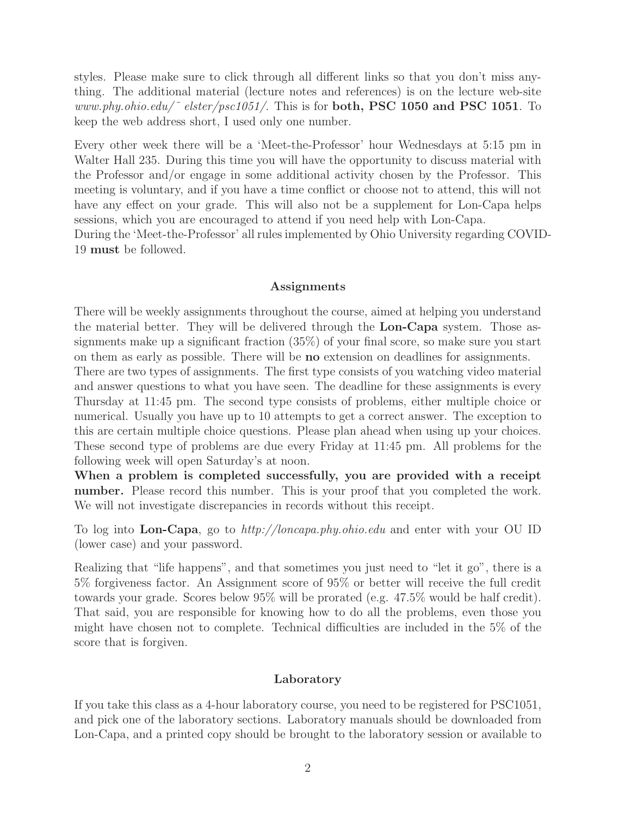styles. Please make sure to click through all different links so that you don't miss anything. The additional material (lecture notes and references) is on the lecture web-site www.phy.ohio.edu/ $\degree$  elster/psc1051/. This is for both, PSC 1050 and PSC 1051. To keep the web address short, I used only one number.

Every other week there will be a 'Meet-the-Professor' hour Wednesdays at 5:15 pm in Walter Hall 235. During this time you will have the opportunity to discuss material with the Professor and/or engage in some additional activity chosen by the Professor. This meeting is voluntary, and if you have a time conflict or choose not to attend, this will not have any effect on your grade. This will also not be a supplement for Lon-Capa helps sessions, which you are encouraged to attend if you need help with Lon-Capa.

During the 'Meet-the-Professor' all rules implemented by Ohio University regarding COVID-19 must be followed.

### Assignments

There will be weekly assignments throughout the course, aimed at helping you understand the material better. They will be delivered through the Lon-Capa system. Those assignments make up a significant fraction (35%) of your final score, so make sure you start on them as early as possible. There will be no extension on deadlines for assignments.

There are two types of assignments. The first type consists of you watching video material and answer questions to what you have seen. The deadline for these assignments is every Thursday at 11:45 pm. The second type consists of problems, either multiple choice or numerical. Usually you have up to 10 attempts to get a correct answer. The exception to this are certain multiple choice questions. Please plan ahead when using up your choices. These second type of problems are due every Friday at 11:45 pm. All problems for the following week will open Saturday's at noon.

When a problem is completed successfully, you are provided with a receipt number. Please record this number. This is your proof that you completed the work. We will not investigate discrepancies in records without this receipt.

To log into Lon-Capa, go to http://loncapa.phy.ohio.edu and enter with your OU ID (lower case) and your password.

Realizing that "life happens", and that sometimes you just need to "let it go", there is a 5% forgiveness factor. An Assignment score of 95% or better will receive the full credit towards your grade. Scores below 95% will be prorated (e.g. 47.5% would be half credit). That said, you are responsible for knowing how to do all the problems, even those you might have chosen not to complete. Technical difficulties are included in the 5% of the score that is forgiven.

### Laboratory

If you take this class as a 4-hour laboratory course, you need to be registered for PSC1051, and pick one of the laboratory sections. Laboratory manuals should be downloaded from Lon-Capa, and a printed copy should be brought to the laboratory session or available to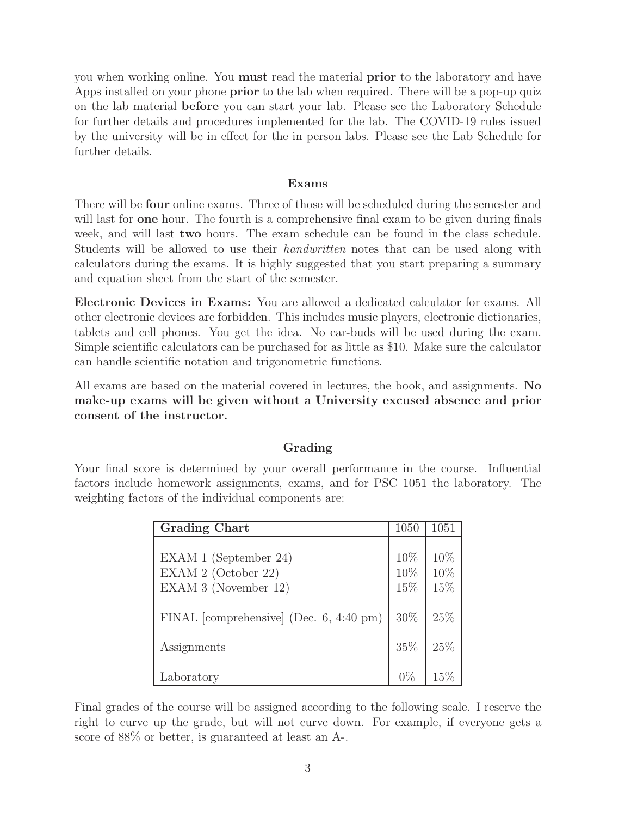you when working online. You must read the material prior to the laboratory and have Apps installed on your phone **prior** to the lab when required. There will be a pop-up quiz on the lab material before you can start your lab. Please see the Laboratory Schedule for further details and procedures implemented for the lab. The COVID-19 rules issued by the university will be in effect for the in person labs. Please see the Lab Schedule for further details.

## Exams

There will be four online exams. Three of those will be scheduled during the semester and will last for **one** hour. The fourth is a comprehensive final exam to be given during finals week, and will last **two** hours. The exam schedule can be found in the class schedule. Students will be allowed to use their *handwritten* notes that can be used along with calculators during the exams. It is highly suggested that you start preparing a summary and equation sheet from the start of the semester.

Electronic Devices in Exams: You are allowed a dedicated calculator for exams. All other electronic devices are forbidden. This includes music players, electronic dictionaries, tablets and cell phones. You get the idea. No ear-buds will be used during the exam. Simple scientific calculators can be purchased for as little as \$10. Make sure the calculator can handle scientific notation and trigonometric functions.

All exams are based on the material covered in lectures, the book, and assignments. No make-up exams will be given without a University excused absence and prior consent of the instructor.

# Grading

Your final score is determined by your overall performance in the course. Influential factors include homework assignments, exams, and for PSC 1051 the laboratory. The weighting factors of the individual components are:

| <b>Grading Chart</b>                                                 |                   | 1051              |
|----------------------------------------------------------------------|-------------------|-------------------|
| EXAM 1 (September 24)<br>EXAM 2 (October 22)<br>EXAM 3 (November 12) | 10%<br>10%<br>15% | 10%<br>10%<br>15% |
| FINAL [comprehensive] (Dec. $6, 4:40 \text{ pm}$ )                   | 30%               | 25%               |
| Assignments                                                          |                   | 25%               |
| Laboratory                                                           |                   | 159               |

Final grades of the course will be assigned according to the following scale. I reserve the right to curve up the grade, but will not curve down. For example, if everyone gets a score of 88% or better, is guaranteed at least an A-.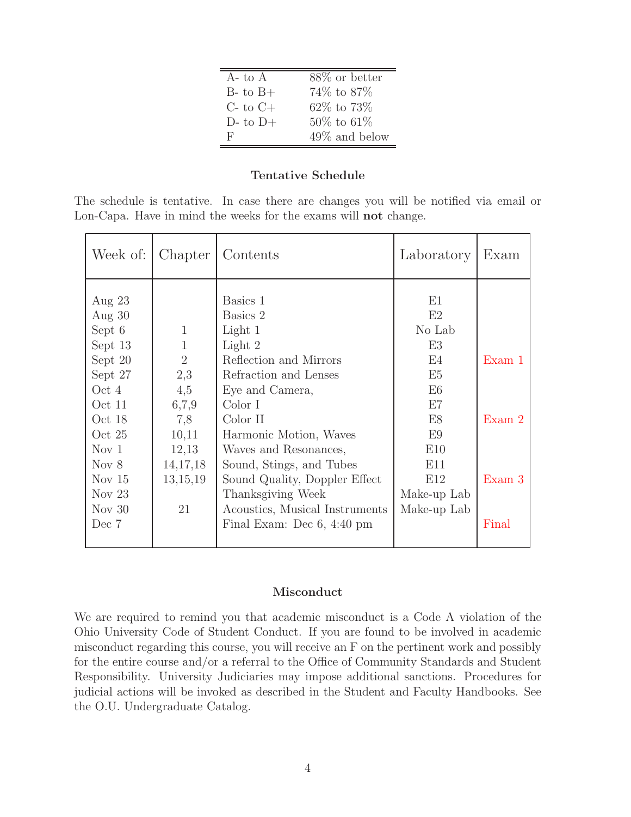| A- to A       | $88\%$ or better |
|---------------|------------------|
| $B$ - to $B+$ | 74\% to 87\%     |
| $C$ - to $C+$ | 62\% to 73\%     |
| $D$ - to $D+$ | $50\%$ to 61\%   |
| н,            | $49\%$ and below |

## Tentative Schedule

The schedule is tentative. In case there are changes you will be notified via email or Lon-Capa. Have in mind the weeks for the exams will not change.

| Week of:         | Chapter        | Contents                             | Laboratory      | Exam   |
|------------------|----------------|--------------------------------------|-----------------|--------|
| Aug $23$         |                | Basics 1                             | E1              |        |
| Aug $30$         |                | Basics 2                             | E2              |        |
| Sept 6           | $\mathbf{1}$   | Light 1                              | No Lab          |        |
| Sept 13          | 1              | Light 2                              | E3              |        |
| Sept 20          | $\overline{2}$ | Reflection and Mirrors               | F4              | Exam 1 |
| Sept 27          | 2,3            | Refraction and Lenses                | E <sub>5</sub>  |        |
| Oct 4            | 4,5            | Eye and Camera,                      | E6              |        |
| Oct 11           | 6,7,9          | Color I                              | E7              |        |
| Oct 18           | 7,8            | Color II                             | E8              | Exam 2 |
| Oct $25$         | 10,11          | Harmonic Motion, Waves               | E9              |        |
| Nov <sub>1</sub> | 12,13          | Waves and Resonances,                | E10             |        |
| Nov 8            | 14, 17, 18     | Sound, Stings, and Tubes             | E11             |        |
| Nov $15$         | 13,15,19       | Sound Quality, Doppler Effect        | E <sub>12</sub> | Exam 3 |
| Nov $23$         |                | Thanksgiving Week                    | Make-up Lab     |        |
| Nov $30$         | 21             | Acoustics, Musical Instruments       | Make-up Lab     |        |
| Dec 7            |                | Final Exam: Dec $6, 4:40 \text{ pm}$ |                 | Final  |

## Misconduct

We are required to remind you that academic misconduct is a Code A violation of the Ohio University Code of Student Conduct. If you are found to be involved in academic misconduct regarding this course, you will receive an F on the pertinent work and possibly for the entire course and/or a referral to the Office of Community Standards and Student Responsibility. University Judiciaries may impose additional sanctions. Procedures for judicial actions will be invoked as described in the Student and Faculty Handbooks. See the O.U. Undergraduate Catalog.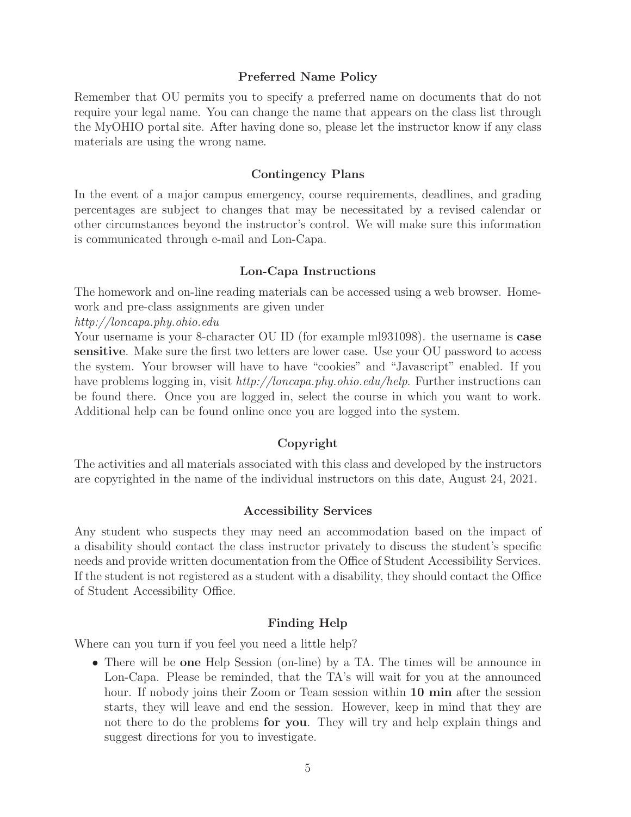## Preferred Name Policy

Remember that OU permits you to specify a preferred name on documents that do not require your legal name. You can change the name that appears on the class list through the MyOHIO portal site. After having done so, please let the instructor know if any class materials are using the wrong name.

#### Contingency Plans

In the event of a major campus emergency, course requirements, deadlines, and grading percentages are subject to changes that may be necessitated by a revised calendar or other circumstances beyond the instructor's control. We will make sure this information is communicated through e-mail and Lon-Capa.

### Lon-Capa Instructions

The homework and on-line reading materials can be accessed using a web browser. Homework and pre-class assignments are given under

http://loncapa.phy.ohio.edu

Your username is your 8-character OU ID (for example ml931098). the username is **case** sensitive. Make sure the first two letters are lower case. Use your OU password to access the system. Your browser will have to have "cookies" and "Javascript" enabled. If you have problems logging in, visit http://loncapa.phy.ohio.edu/help. Further instructions can be found there. Once you are logged in, select the course in which you want to work. Additional help can be found online once you are logged into the system.

## Copyright

The activities and all materials associated with this class and developed by the instructors are copyrighted in the name of the individual instructors on this date, August 24, 2021.

### Accessibility Services

Any student who suspects they may need an accommodation based on the impact of a disability should contact the class instructor privately to discuss the student's specific needs and provide written documentation from the Office of Student Accessibility Services. If the student is not registered as a student with a disability, they should contact the Office of Student Accessibility Office.

### Finding Help

Where can you turn if you feel you need a little help?

• There will be **one** Help Session (on-line) by a TA. The times will be announce in Lon-Capa. Please be reminded, that the TA's will wait for you at the announced hour. If nobody joins their Zoom or Team session within 10 min after the session starts, they will leave and end the session. However, keep in mind that they are not there to do the problems **for you**. They will try and help explain things and suggest directions for you to investigate.